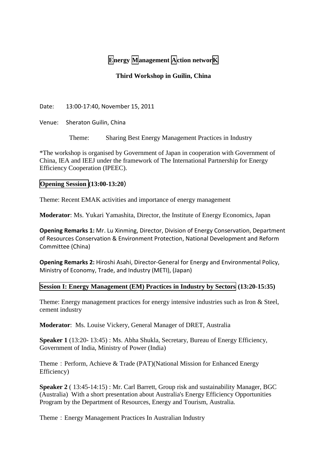# **Energy Management Action networK**

## **Third Workshop in Guilin, China**

Date: 13:00-17:40, November 15, 2011

Venue: Sheraton Guilin, China

Theme: Sharing Best Energy Management Practices in Industry

\*The workshop is organised by Government of Japan in cooperation with Government of China, IEA and IEEJ under the framework of The International Partnership for Energy Efficiency Cooperation (IPEEC).

## **Opening Session (13:00-13:20**)

Theme: Recent EMAK activities and importance of energy management

**Moderator**: Ms. Yukari Yamashita, Director, the Institute of Energy Economics, Japan

**Opening Remarks 1:** Mr. Lu Xinming, Director, Division of Energy Conservation, Department of Resources Conservation & Environment Protection, National Development and Reform Committee (China)

**Opening Remarks 2:** Hiroshi Asahi, Director-General for Energy and Environmental Policy, Ministry of Economy, Trade, and Industry (METI), (Japan)

#### **Session I: Energy Management (EM) Practices in Industry by Sectors (13:20-15:35)**

Theme: Energy management practices for energy intensive industries such as Iron & Steel, cement industry

**Moderator**: Ms. Louise Vickery, General Manager of DRET, Australia

**Speaker 1** (13:20- 13:45) : Ms. Abha Shukla, Secretary, Bureau of Energy Efficiency, Government of India, Ministry of Power (India)

Theme: Perform, Achieve & Trade (PAT)(National Mission for Enhanced Energy Efficiency)

**Speaker 2** ( 13:45-14:15) : Mr. Carl Barrett, Group risk and sustainability Manager, BGC (Australia) With a short presentation about Australia's Energy Efficiency Opportunities Program by the Department of Resources, Energy and Tourism, Australia.

Theme: Energy Management Practices In Australian Industry